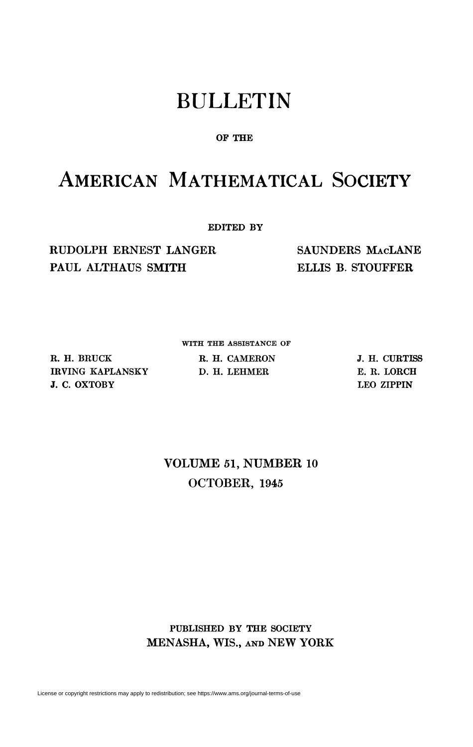# BULLETIN

### **OF THE**

## AMERICAN MATHEMATICAL SOCIETY

**EDITED BY** 

RUDOLPH ERNEST LANGER PAUL ALTHAUS SMITH

SAUNDERS MACLANE ELLIS B. STOUFFER

WITH THE ASSISTANCE OF

**R. H. BRUCK IRVING KAPLANSKY J. C. OXTOBY** 

**R. H. CAMERON D. H. LEHMER** 

**J. H. CURTISS E. R. LORCH LEO ZIPPIN** 

### VOLUME 61, NUMBER 10 OCTOBER, 1945

**PUBLISHED BY THE SOCIETY**  MENASHA, WIS., AND NEW YORK